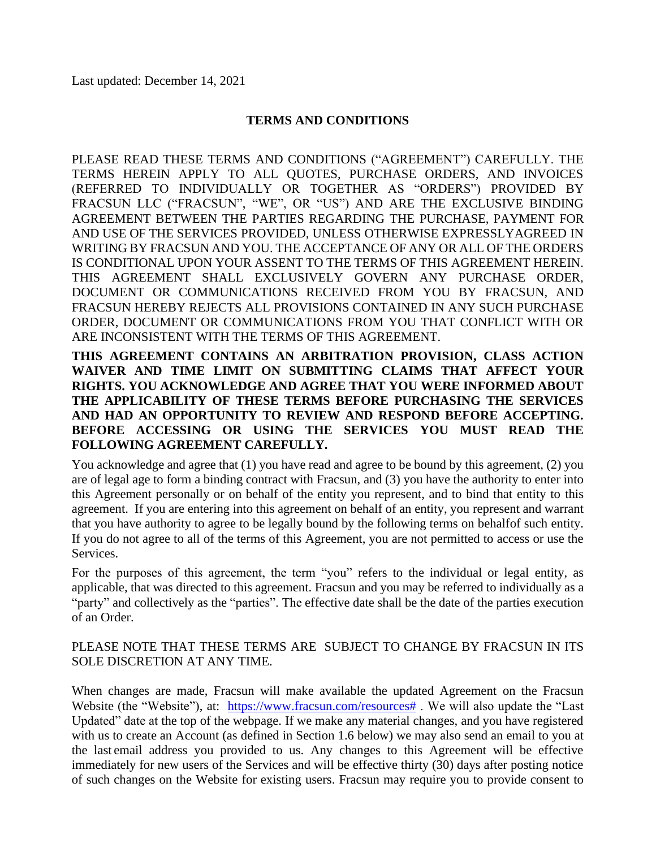#### **TERMS AND CONDITIONS**

PLEASE READ THESE TERMS AND CONDITIONS ("AGREEMENT") CAREFULLY. THE TERMS HEREIN APPLY TO ALL QUOTES, PURCHASE ORDERS, AND INVOICES (REFERRED TO INDIVIDUALLY OR TOGETHER AS "ORDERS") PROVIDED BY FRACSUN LLC ("FRACSUN", "WE", OR "US") AND ARE THE EXCLUSIVE BINDING AGREEMENT BETWEEN THE PARTIES REGARDING THE PURCHASE, PAYMENT FOR AND USE OF THE SERVICES PROVIDED, UNLESS OTHERWISE EXPRESSLYAGREED IN WRITING BY FRACSUN AND YOU. THE ACCEPTANCE OF ANY OR ALL OF THE ORDERS IS CONDITIONAL UPON YOUR ASSENT TO THE TERMS OF THIS AGREEMENT HEREIN. THIS AGREEMENT SHALL EXCLUSIVELY GOVERN ANY PURCHASE ORDER, DOCUMENT OR COMMUNICATIONS RECEIVED FROM YOU BY FRACSUN, AND FRACSUN HEREBY REJECTS ALL PROVISIONS CONTAINED IN ANY SUCH PURCHASE ORDER, DOCUMENT OR COMMUNICATIONS FROM YOU THAT CONFLICT WITH OR ARE INCONSISTENT WITH THE TERMS OF THIS AGREEMENT.

**THIS AGREEMENT CONTAINS AN ARBITRATION PROVISION, CLASS ACTION WAIVER AND TIME LIMIT ON SUBMITTING CLAIMS THAT AFFECT YOUR RIGHTS. YOU ACKNOWLEDGE AND AGREE THAT YOU WERE INFORMED ABOUT THE APPLICABILITY OF THESE TERMS BEFORE PURCHASING THE SERVICES AND HAD AN OPPORTUNITY TO REVIEW AND RESPOND BEFORE ACCEPTING. BEFORE ACCESSING OR USING THE SERVICES YOU MUST READ THE FOLLOWING AGREEMENT CAREFULLY.**

You acknowledge and agree that (1) you have read and agree to be bound by this agreement, (2) you are of legal age to form a binding contract with Fracsun, and (3) you have the authority to enter into this Agreement personally or on behalf of the entity you represent, and to bind that entity to this agreement. If you are entering into this agreement on behalf of an entity, you represent and warrant that you have authority to agree to be legally bound by the following terms on behalfof such entity. If you do not agree to all of the terms of this Agreement, you are not permitted to access or use the Services.

For the purposes of this agreement, the term "you" refers to the individual or legal entity, as applicable, that was directed to this agreement. Fracsun and you may be referred to individually as a "party" and collectively as the "parties". The effective date shall be the date of the parties execution of an Order.

#### PLEASE NOTE THAT THESE TERMS ARE SUBJECT TO CHANGE BY FRACSUN IN ITS SOLE DISCRETION AT ANY TIME.

When changes are made, Fracsun will make available the updated Agreement on the Fracsun Website (the "Website"), at: [https://www.fracsun.com/resources#](https://fracsun.com/downloads) . We will also update the "Last" Updated" date at the top of the webpage. If we make any material changes, and you have registered with us to create an Account (as defined in Section 1.6 below) we may also send an email to you at the last email address you provided to us. Any changes to this Agreement will be effective immediately for new users of the Services and will be effective thirty (30) days after posting notice of such changes on the Website for existing users. Fracsun may require you to provide consent to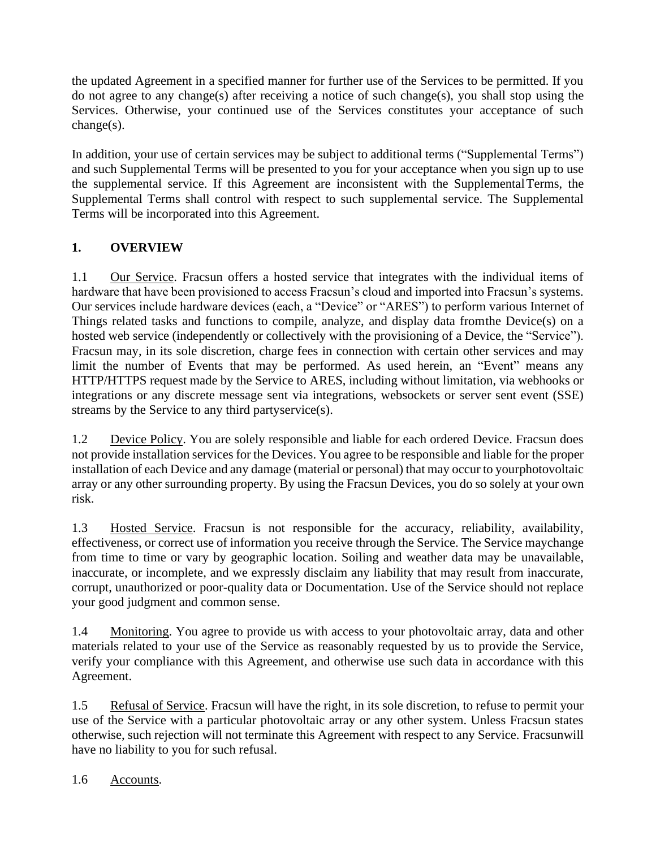the updated Agreement in a specified manner for further use of the Services to be permitted. If you do not agree to any change(s) after receiving a notice of such change(s), you shall stop using the Services. Otherwise, your continued use of the Services constitutes your acceptance of such change(s).

In addition, your use of certain services may be subject to additional terms ("Supplemental Terms") and such Supplemental Terms will be presented to you for your acceptance when you sign up to use the supplemental service. If this Agreement are inconsistent with the SupplementalTerms, the Supplemental Terms shall control with respect to such supplemental service. The Supplemental Terms will be incorporated into this Agreement.

# **1. OVERVIEW**

1.1 Our Service. Fracsun offers a hosted service that integrates with the individual items of hardware that have been provisioned to access Fracsun's cloud and imported into Fracsun's systems. Our services include hardware devices (each, a "Device" or "ARES") to perform various Internet of Things related tasks and functions to compile, analyze, and display data fromthe Device(s) on a hosted web service (independently or collectively with the provisioning of a Device, the "Service"). Fracsun may, in its sole discretion, charge fees in connection with certain other services and may limit the number of Events that may be performed. As used herein, an "Event" means any HTTP/HTTPS request made by the Service to ARES, including without limitation, via webhooks or integrations or any discrete message sent via integrations, websockets or server sent event (SSE) streams by the Service to any third partyservice(s).

1.2 Device Policy. You are solely responsible and liable for each ordered Device. Fracsun does not provide installation services for the Devices. You agree to be responsible and liable for the proper installation of each Device and any damage (material or personal) that may occur to yourphotovoltaic array or any other surrounding property. By using the Fracsun Devices, you do so solely at your own risk.

1.3 Hosted Service. Fracsun is not responsible for the accuracy, reliability, availability, effectiveness, or correct use of information you receive through the Service. The Service maychange from time to time or vary by geographic location. Soiling and weather data may be unavailable, inaccurate, or incomplete, and we expressly disclaim any liability that may result from inaccurate, corrupt, unauthorized or poor-quality data or Documentation. Use of the Service should not replace your good judgment and common sense.

1.4 Monitoring. You agree to provide us with access to your photovoltaic array, data and other materials related to your use of the Service as reasonably requested by us to provide the Service, verify your compliance with this Agreement, and otherwise use such data in accordance with this Agreement.

1.5 Refusal of Service. Fracsun will have the right, in its sole discretion, to refuse to permit your use of the Service with a particular photovoltaic array or any other system. Unless Fracsun states otherwise, such rejection will not terminate this Agreement with respect to any Service. Fracsunwill have no liability to you for such refusal.

1.6 Accounts.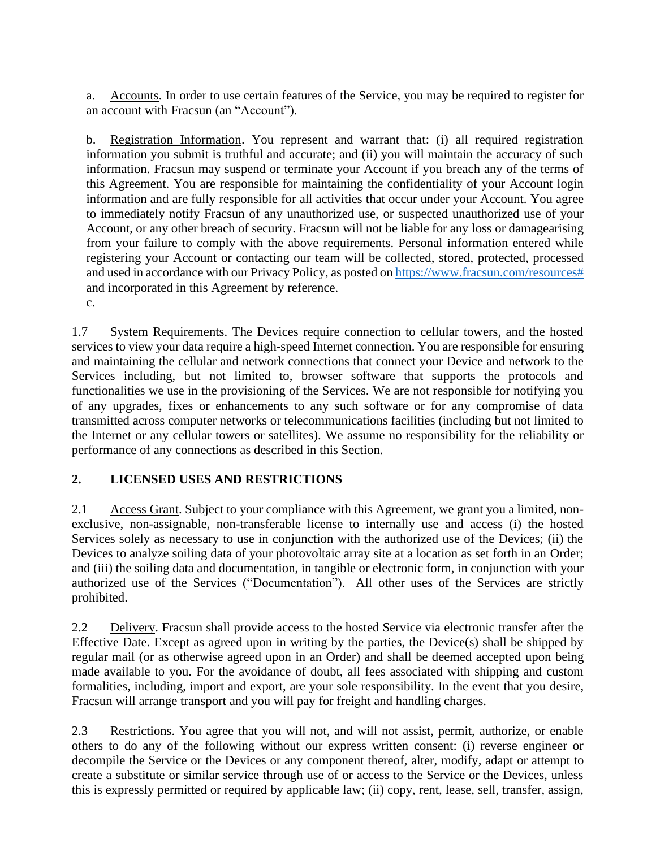a. Accounts. In order to use certain features of the Service, you may be required to register for an account with Fracsun (an "Account").

b. Registration Information. You represent and warrant that: (i) all required registration information you submit is truthful and accurate; and (ii) you will maintain the accuracy of such information. Fracsun may suspend or terminate your Account if you breach any of the terms of this Agreement. You are responsible for maintaining the confidentiality of your Account login information and are fully responsible for all activities that occur under your Account. You agree to immediately notify Fracsun of any unauthorized use, or suspected unauthorized use of your Account, or any other breach of security. Fracsun will not be liable for any loss or damagearising from your failure to comply with the above requirements. Personal information entered while registering your Account or contacting our team will be collected, stored, protected, processed and used in accordance with our Privacy Policy, as posted on [https://www.fracsun.com/resources#](https://www.fracsun.com/resources) and incorporated in this Agreement by reference. c.

1.7 System Requirements. The Devices require connection to cellular towers, and the hosted services to view your data require a high-speed Internet connection. You are responsible for ensuring and maintaining the cellular and network connections that connect your Device and network to the Services including, but not limited to, browser software that supports the protocols and functionalities we use in the provisioning of the Services. We are not responsible for notifying you of any upgrades, fixes or enhancements to any such software or for any compromise of data transmitted across computer networks or telecommunications facilities (including but not limited to the Internet or any cellular towers or satellites). We assume no responsibility for the reliability or performance of any connections as described in this Section.

### **2. LICENSED USES AND RESTRICTIONS**

2.1 Access Grant. Subject to your compliance with this Agreement, we grant you a limited, nonexclusive, non-assignable, non-transferable license to internally use and access (i) the hosted Services solely as necessary to use in conjunction with the authorized use of the Devices; (ii) the Devices to analyze soiling data of your photovoltaic array site at a location as set forth in an Order; and (iii) the soiling data and documentation, in tangible or electronic form, in conjunction with your authorized use of the Services ("Documentation"). All other uses of the Services are strictly prohibited.

2.2 Delivery. Fracsun shall provide access to the hosted Service via electronic transfer after the Effective Date. Except as agreed upon in writing by the parties, the Device(s) shall be shipped by regular mail (or as otherwise agreed upon in an Order) and shall be deemed accepted upon being made available to you. For the avoidance of doubt, all fees associated with shipping and custom formalities, including, import and export, are your sole responsibility. In the event that you desire, Fracsun will arrange transport and you will pay for freight and handling charges.

2.3 Restrictions. You agree that you will not, and will not assist, permit, authorize, or enable others to do any of the following without our express written consent: (i) reverse engineer or decompile the Service or the Devices or any component thereof, alter, modify, adapt or attempt to create a substitute or similar service through use of or access to the Service or the Devices, unless this is expressly permitted or required by applicable law; (ii) copy, rent, lease, sell, transfer, assign,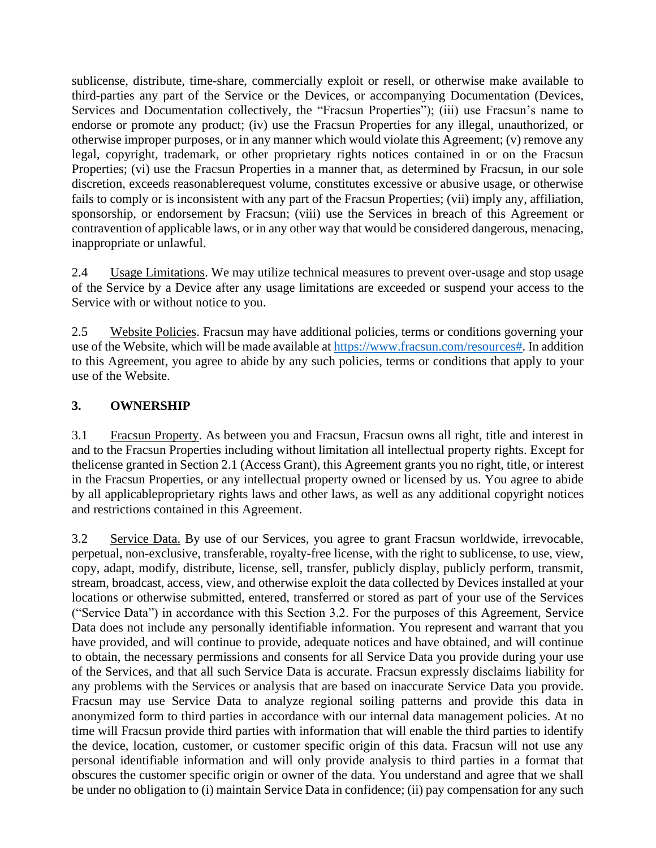sublicense, distribute, time-share, commercially exploit or resell, or otherwise make available to third-parties any part of the Service or the Devices, or accompanying Documentation (Devices, Services and Documentation collectively, the "Fracsun Properties"); (iii) use Fracsun's name to endorse or promote any product; (iv) use the Fracsun Properties for any illegal, unauthorized, or otherwise improper purposes, or in any manner which would violate this Agreement; (v) remove any legal, copyright, trademark, or other proprietary rights notices contained in or on the Fracsun Properties; (vi) use the Fracsun Properties in a manner that, as determined by Fracsun, in our sole discretion, exceeds reasonablerequest volume, constitutes excessive or abusive usage, or otherwise fails to comply or is inconsistent with any part of the Fracsun Properties; (vii) imply any, affiliation, sponsorship, or endorsement by Fracsun; (viii) use the Services in breach of this Agreement or contravention of applicable laws, or in any other way that would be considered dangerous, menacing, inappropriate or unlawful.

2.4 Usage Limitations. We may utilize technical measures to prevent over-usage and stop usage of the Service by a Device after any usage limitations are exceeded or suspend your access to the Service with or without notice to you.

2.5 Website Policies. Fracsun may have additional policies, terms or conditions governing your use of the Website, which will be made available at [https://www.fracsun.com/resources#.](https://www.fracsun.com/resources) In addition to this Agreement, you agree to abide by any such policies, terms or conditions that apply to your use of the Website.

### **3. OWNERSHIP**

3.1 Fracsun Property. As between you and Fracsun, Fracsun owns all right, title and interest in and to the Fracsun Properties including without limitation all intellectual property rights. Except for thelicense granted in Section 2.1 (Access Grant), this Agreement grants you no right, title, or interest in the Fracsun Properties, or any intellectual property owned or licensed by us. You agree to abide by all applicableproprietary rights laws and other laws, as well as any additional copyright notices and restrictions contained in this Agreement.

3.2 Service Data. By use of our Services, you agree to grant Fracsun worldwide, irrevocable, perpetual, non-exclusive, transferable, royalty-free license, with the right to sublicense, to use, view, copy, adapt, modify, distribute, license, sell, transfer, publicly display, publicly perform, transmit, stream, broadcast, access, view, and otherwise exploit the data collected by Devices installed at your locations or otherwise submitted, entered, transferred or stored as part of your use of the Services ("Service Data") in accordance with this Section 3.2. For the purposes of this Agreement, Service Data does not include any personally identifiable information. You represent and warrant that you have provided, and will continue to provide, adequate notices and have obtained, and will continue to obtain, the necessary permissions and consents for all Service Data you provide during your use of the Services, and that all such Service Data is accurate. Fracsun expressly disclaims liability for any problems with the Services or analysis that are based on inaccurate Service Data you provide. Fracsun may use Service Data to analyze regional soiling patterns and provide this data in anonymized form to third parties in accordance with our internal data management policies. At no time will Fracsun provide third parties with information that will enable the third parties to identify the device, location, customer, or customer specific origin of this data. Fracsun will not use any personal identifiable information and will only provide analysis to third parties in a format that obscures the customer specific origin or owner of the data. You understand and agree that we shall be under no obligation to (i) maintain Service Data in confidence; (ii) pay compensation for any such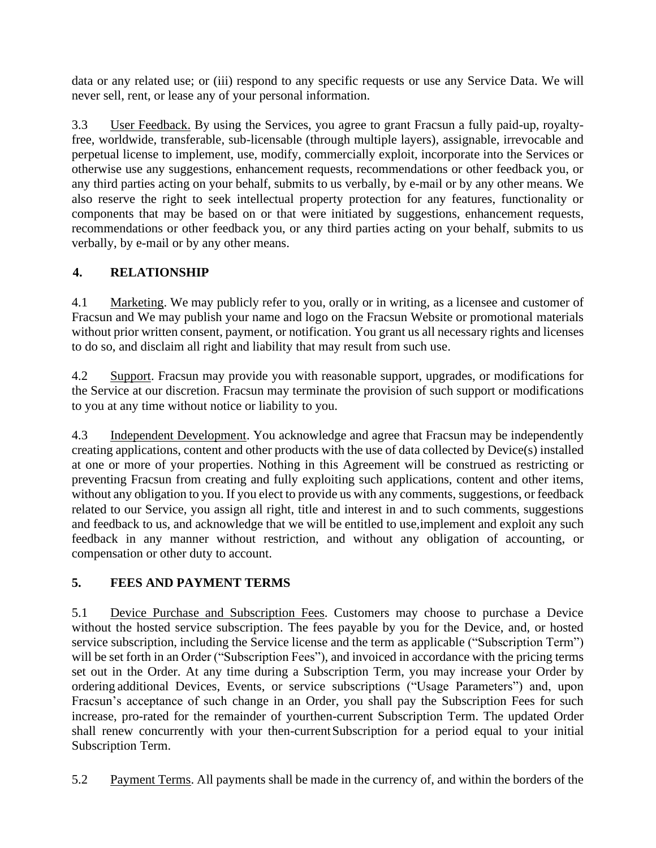data or any related use; or (iii) respond to any specific requests or use any Service Data. We will never sell, rent, or lease any of your personal information.

3.3 User Feedback. By using the Services, you agree to grant Fracsun a fully paid-up, royaltyfree, worldwide, transferable, sub-licensable (through multiple layers), assignable, irrevocable and perpetual license to implement, use, modify, commercially exploit, incorporate into the Services or otherwise use any suggestions, enhancement requests, recommendations or other feedback you, or any third parties acting on your behalf, submits to us verbally, by e-mail or by any other means. We also reserve the right to seek intellectual property protection for any features, functionality or components that may be based on or that were initiated by suggestions, enhancement requests, recommendations or other feedback you, or any third parties acting on your behalf, submits to us verbally, by e-mail or by any other means.

# **4. RELATIONSHIP**

4.1 Marketing. We may publicly refer to you, orally or in writing, as a licensee and customer of Fracsun and We may publish your name and logo on the Fracsun Website or promotional materials without prior written consent, payment, or notification. You grant us all necessary rights and licenses to do so, and disclaim all right and liability that may result from such use.

4.2 Support. Fracsun may provide you with reasonable support, upgrades, or modifications for the Service at our discretion. Fracsun may terminate the provision of such support or modifications to you at any time without notice or liability to you.

4.3 Independent Development. You acknowledge and agree that Fracsun may be independently creating applications, content and other products with the use of data collected by Device(s) installed at one or more of your properties. Nothing in this Agreement will be construed as restricting or preventing Fracsun from creating and fully exploiting such applications, content and other items, without any obligation to you. If you elect to provide us with any comments, suggestions, or feedback related to our Service, you assign all right, title and interest in and to such comments, suggestions and feedback to us, and acknowledge that we will be entitled to use,implement and exploit any such feedback in any manner without restriction, and without any obligation of accounting, or compensation or other duty to account.

### **5. FEES AND PAYMENT TERMS**

5.1 Device Purchase and Subscription Fees. Customers may choose to purchase a Device without the hosted service subscription. The fees payable by you for the Device, and, or hosted service subscription, including the Service license and the term as applicable ("Subscription Term") will be set forth in an Order ("Subscription Fees"), and invoiced in accordance with the pricing terms set out in the Order. At any time during a Subscription Term, you may increase your Order by ordering additional Devices, Events, or service subscriptions ("Usage Parameters") and, upon Fracsun's acceptance of such change in an Order, you shall pay the Subscription Fees for such increase, pro-rated for the remainder of yourthen-current Subscription Term. The updated Order shall renew concurrently with your then-currentSubscription for a period equal to your initial Subscription Term.

5.2 Payment Terms. All payments shall be made in the currency of, and within the borders of the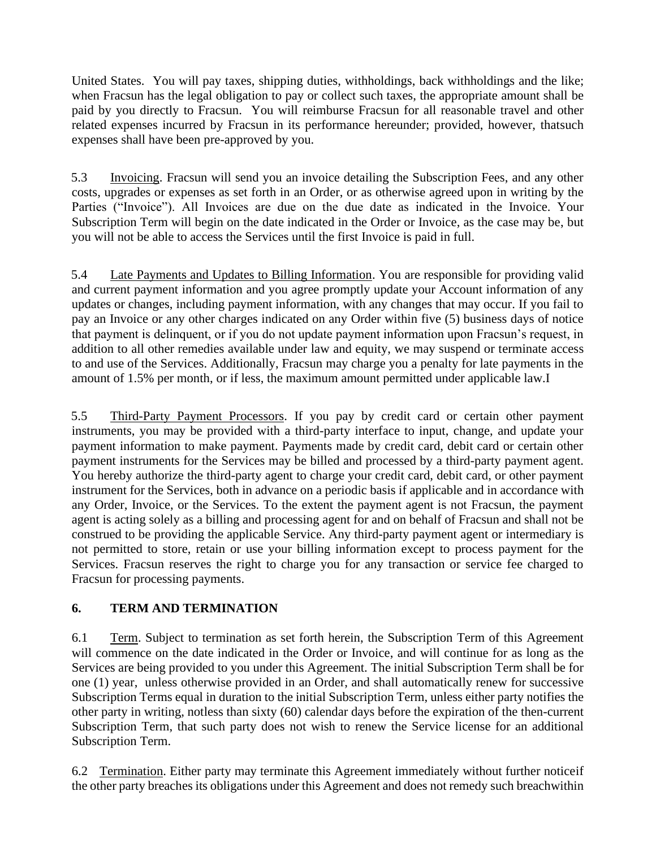United States. You will pay taxes, shipping duties, withholdings, back withholdings and the like; when Fracsun has the legal obligation to pay or collect such taxes, the appropriate amount shall be paid by you directly to Fracsun. You will reimburse Fracsun for all reasonable travel and other related expenses incurred by Fracsun in its performance hereunder; provided, however, thatsuch expenses shall have been pre-approved by you.

5.3 Invoicing. Fracsun will send you an invoice detailing the Subscription Fees, and any other costs, upgrades or expenses as set forth in an Order, or as otherwise agreed upon in writing by the Parties ("Invoice"). All Invoices are due on the due date as indicated in the Invoice. Your Subscription Term will begin on the date indicated in the Order or Invoice, as the case may be, but you will not be able to access the Services until the first Invoice is paid in full.

5.4 Late Payments and Updates to Billing Information. You are responsible for providing valid and current payment information and you agree promptly update your Account information of any updates or changes, including payment information, with any changes that may occur. If you fail to pay an Invoice or any other charges indicated on any Order within five (5) business days of notice that payment is delinquent, or if you do not update payment information upon Fracsun's request, in addition to all other remedies available under law and equity, we may suspend or terminate access to and use of the Services. Additionally, Fracsun may charge you a penalty for late payments in the amount of 1.5% per month, or if less, the maximum amount permitted under applicable law.I

5.5 Third-Party Payment Processors. If you pay by credit card or certain other payment instruments, you may be provided with a third-party interface to input, change, and update your payment information to make payment. Payments made by credit card, debit card or certain other payment instruments for the Services may be billed and processed by a third-party payment agent. You hereby authorize the third-party agent to charge your credit card, debit card, or other payment instrument for the Services, both in advance on a periodic basis if applicable and in accordance with any Order, Invoice, or the Services. To the extent the payment agent is not Fracsun, the payment agent is acting solely as a billing and processing agent for and on behalf of Fracsun and shall not be construed to be providing the applicable Service. Any third-party payment agent or intermediary is not permitted to store, retain or use your billing information except to process payment for the Services. Fracsun reserves the right to charge you for any transaction or service fee charged to Fracsun for processing payments.

#### **6. TERM AND TERMINATION**

6.1 Term. Subject to termination as set forth herein, the Subscription Term of this Agreement will commence on the date indicated in the Order or Invoice, and will continue for as long as the Services are being provided to you under this Agreement. The initial Subscription Term shall be for one (1) year, unless otherwise provided in an Order, and shall automatically renew for successive Subscription Terms equal in duration to the initial Subscription Term, unless either party notifies the other party in writing, notless than sixty (60) calendar days before the expiration of the then-current Subscription Term, that such party does not wish to renew the Service license for an additional Subscription Term.

6.2 Termination. Either party may terminate this Agreement immediately without further noticeif the other party breaches its obligations under this Agreement and does not remedy such breachwithin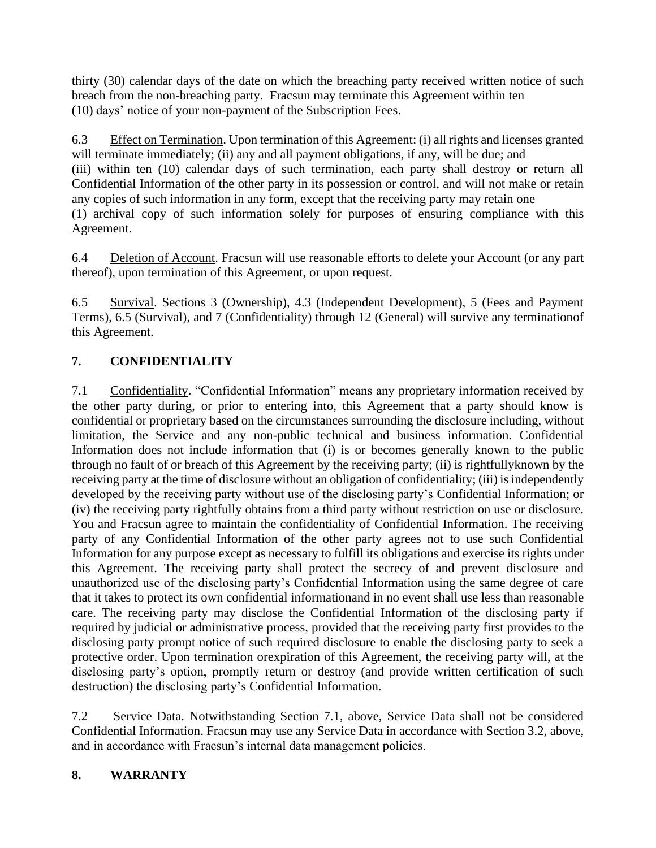thirty (30) calendar days of the date on which the breaching party received written notice of such breach from the non-breaching party. Fracsun may terminate this Agreement within ten (10) days' notice of your non-payment of the Subscription Fees.

6.3 Effect on Termination. Upon termination of this Agreement: (i) all rights and licenses granted will terminate immediately; (ii) any and all payment obligations, if any, will be due; and (iii) within ten (10) calendar days of such termination, each party shall destroy or return all Confidential Information of the other party in its possession or control, and will not make or retain any copies of such information in any form, except that the receiving party may retain one (1) archival copy of such information solely for purposes of ensuring compliance with this Agreement.

6.4 Deletion of Account. Fracsun will use reasonable efforts to delete your Account (or any part thereof), upon termination of this Agreement, or upon request.

6.5 Survival. Sections 3 (Ownership), 4.3 (Independent Development), 5 (Fees and Payment Terms), 6.5 (Survival), and 7 (Confidentiality) through 12 (General) will survive any terminationof this Agreement.

### **7. CONFIDENTIALITY**

7.1 Confidentiality. "Confidential Information" means any proprietary information received by the other party during, or prior to entering into, this Agreement that a party should know is confidential or proprietary based on the circumstances surrounding the disclosure including, without limitation, the Service and any non-public technical and business information. Confidential Information does not include information that (i) is or becomes generally known to the public through no fault of or breach of this Agreement by the receiving party; (ii) is rightfullyknown by the receiving party at the time of disclosure without an obligation of confidentiality; (iii) is independently developed by the receiving party without use of the disclosing party's Confidential Information; or (iv) the receiving party rightfully obtains from a third party without restriction on use or disclosure. You and Fracsun agree to maintain the confidentiality of Confidential Information. The receiving party of any Confidential Information of the other party agrees not to use such Confidential Information for any purpose except as necessary to fulfill its obligations and exercise its rights under this Agreement. The receiving party shall protect the secrecy of and prevent disclosure and unauthorized use of the disclosing party's Confidential Information using the same degree of care that it takes to protect its own confidential informationand in no event shall use less than reasonable care. The receiving party may disclose the Confidential Information of the disclosing party if required by judicial or administrative process, provided that the receiving party first provides to the disclosing party prompt notice of such required disclosure to enable the disclosing party to seek a protective order. Upon termination orexpiration of this Agreement, the receiving party will, at the disclosing party's option, promptly return or destroy (and provide written certification of such destruction) the disclosing party's Confidential Information.

7.2 Service Data. Notwithstanding Section 7.1, above, Service Data shall not be considered Confidential Information. Fracsun may use any Service Data in accordance with Section 3.2, above, and in accordance with Fracsun's internal data management policies.

#### **8. WARRANTY**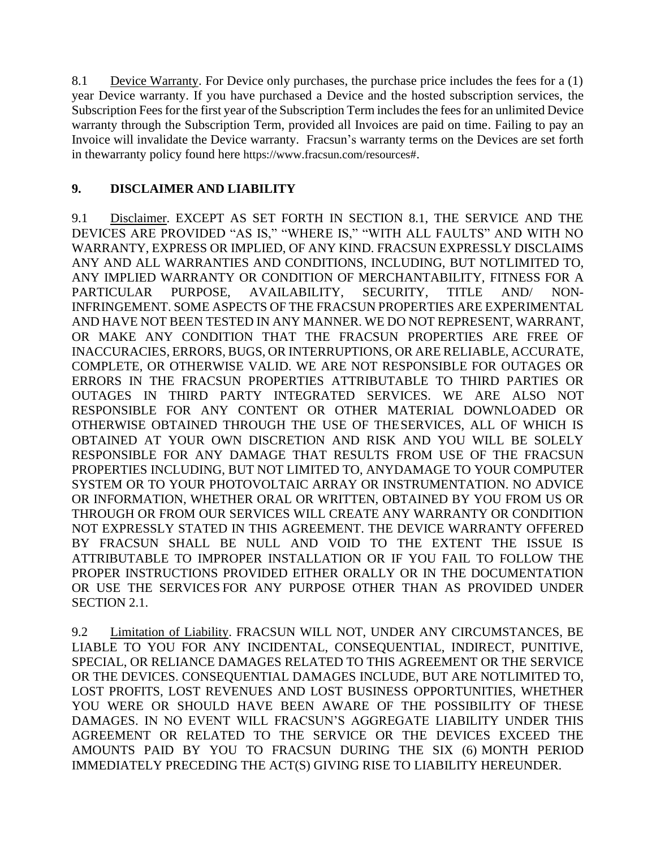8.1 Device Warranty. For Device only purchases, the purchase price includes the fees for a (1) year Device warranty. If you have purchased a Device and the hosted subscription services, the Subscription Fees for the first year of the Subscription Term includes the fees for an unlimited Device warranty through the Subscription Term, provided all Invoices are paid on time. Failing to pay an Invoice will invalidate the Device warranty. Fracsun's warranty terms on the Devices are set forth in thewarranty policy found here https://www.fracsun.com/resources#.

#### **9. DISCLAIMER AND LIABILITY**

9.1 Disclaimer. EXCEPT AS SET FORTH IN SECTION 8.1, THE SERVICE AND THE DEVICES ARE PROVIDED "AS IS," "WHERE IS," "WITH ALL FAULTS" AND WITH NO WARRANTY, EXPRESS OR IMPLIED, OF ANY KIND. FRACSUN EXPRESSLY DISCLAIMS ANY AND ALL WARRANTIES AND CONDITIONS, INCLUDING, BUT NOTLIMITED TO, ANY IMPLIED WARRANTY OR CONDITION OF MERCHANTABILITY, FITNESS FOR A PARTICULAR PURPOSE, AVAILABILITY, SECURITY, TITLE AND/ NON-INFRINGEMENT. SOME ASPECTS OF THE FRACSUN PROPERTIES ARE EXPERIMENTAL AND HAVE NOT BEEN TESTED IN ANY MANNER. WE DO NOT REPRESENT, WARRANT, OR MAKE ANY CONDITION THAT THE FRACSUN PROPERTIES ARE FREE OF INACCURACIES, ERRORS, BUGS, OR INTERRUPTIONS, OR ARE RELIABLE, ACCURATE, COMPLETE, OR OTHERWISE VALID. WE ARE NOT RESPONSIBLE FOR OUTAGES OR ERRORS IN THE FRACSUN PROPERTIES ATTRIBUTABLE TO THIRD PARTIES OR OUTAGES IN THIRD PARTY INTEGRATED SERVICES. WE ARE ALSO NOT RESPONSIBLE FOR ANY CONTENT OR OTHER MATERIAL DOWNLOADED OR OTHERWISE OBTAINED THROUGH THE USE OF THESERVICES, ALL OF WHICH IS OBTAINED AT YOUR OWN DISCRETION AND RISK AND YOU WILL BE SOLELY RESPONSIBLE FOR ANY DAMAGE THAT RESULTS FROM USE OF THE FRACSUN PROPERTIES INCLUDING, BUT NOT LIMITED TO, ANYDAMAGE TO YOUR COMPUTER SYSTEM OR TO YOUR PHOTOVOLTAIC ARRAY OR INSTRUMENTATION. NO ADVICE OR INFORMATION, WHETHER ORAL OR WRITTEN, OBTAINED BY YOU FROM US OR THROUGH OR FROM OUR SERVICES WILL CREATE ANY WARRANTY OR CONDITION NOT EXPRESSLY STATED IN THIS AGREEMENT. THE DEVICE WARRANTY OFFERED BY FRACSUN SHALL BE NULL AND VOID TO THE EXTENT THE ISSUE IS ATTRIBUTABLE TO IMPROPER INSTALLATION OR IF YOU FAIL TO FOLLOW THE PROPER INSTRUCTIONS PROVIDED EITHER ORALLY OR IN THE DOCUMENTATION OR USE THE SERVICES FOR ANY PURPOSE OTHER THAN AS PROVIDED UNDER SECTION 2.1.

9.2 Limitation of Liability. FRACSUN WILL NOT, UNDER ANY CIRCUMSTANCES, BE LIABLE TO YOU FOR ANY INCIDENTAL, CONSEQUENTIAL, INDIRECT, PUNITIVE, SPECIAL, OR RELIANCE DAMAGES RELATED TO THIS AGREEMENT OR THE SERVICE OR THE DEVICES. CONSEQUENTIAL DAMAGES INCLUDE, BUT ARE NOTLIMITED TO, LOST PROFITS, LOST REVENUES AND LOST BUSINESS OPPORTUNITIES, WHETHER YOU WERE OR SHOULD HAVE BEEN AWARE OF THE POSSIBILITY OF THESE DAMAGES. IN NO EVENT WILL FRACSUN'S AGGREGATE LIABILITY UNDER THIS AGREEMENT OR RELATED TO THE SERVICE OR THE DEVICES EXCEED THE AMOUNTS PAID BY YOU TO FRACSUN DURING THE SIX (6) MONTH PERIOD IMMEDIATELY PRECEDING THE ACT(S) GIVING RISE TO LIABILITY HEREUNDER.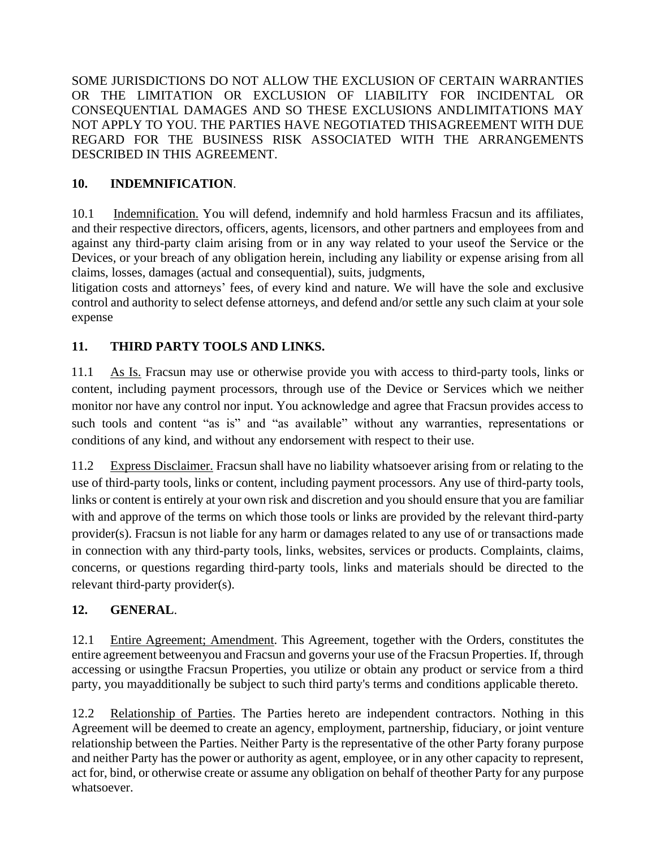SOME JURISDICTIONS DO NOT ALLOW THE EXCLUSION OF CERTAIN WARRANTIES OR THE LIMITATION OR EXCLUSION OF LIABILITY FOR INCIDENTAL OR CONSEQUENTIAL DAMAGES AND SO THESE EXCLUSIONS ANDLIMITATIONS MAY NOT APPLY TO YOU. THE PARTIES HAVE NEGOTIATED THISAGREEMENT WITH DUE REGARD FOR THE BUSINESS RISK ASSOCIATED WITH THE ARRANGEMENTS DESCRIBED IN THIS AGREEMENT.

### **10. INDEMNIFICATION**.

10.1 Indemnification. You will defend, indemnify and hold harmless Fracsun and its affiliates, and their respective directors, officers, agents, licensors, and other partners and employees from and against any third-party claim arising from or in any way related to your useof the Service or the Devices, or your breach of any obligation herein, including any liability or expense arising from all claims, losses, damages (actual and consequential), suits, judgments,

litigation costs and attorneys' fees, of every kind and nature. We will have the sole and exclusive control and authority to select defense attorneys, and defend and/or settle any such claim at your sole expense

# **11. THIRD PARTY TOOLS AND LINKS.**

11.1 As Is. Fracsun may use or otherwise provide you with access to third-party tools, links or content, including payment processors, through use of the Device or Services which we neither monitor nor have any control nor input. You acknowledge and agree that Fracsun provides access to such tools and content "as is" and "as available" without any warranties, representations or conditions of any kind, and without any endorsement with respect to their use.

11.2 Express Disclaimer. Fracsun shall have no liability whatsoever arising from or relating to the use of third-party tools, links or content, including payment processors. Any use of third-party tools, links or content is entirely at your own risk and discretion and you should ensure that you are familiar with and approve of the terms on which those tools or links are provided by the relevant third-party provider(s). Fracsun is not liable for any harm or damages related to any use of or transactions made in connection with any third-party tools, links, websites, services or products. Complaints, claims, concerns, or questions regarding third-party tools, links and materials should be directed to the relevant third-party provider(s).

### **12. GENERAL**.

12.1 Entire Agreement; Amendment. This Agreement, together with the Orders, constitutes the entire agreement betweenyou and Fracsun and governs your use of the Fracsun Properties. If, through accessing or usingthe Fracsun Properties, you utilize or obtain any product or service from a third party, you mayadditionally be subject to such third party's terms and conditions applicable thereto.

12.2 Relationship of Parties. The Parties hereto are independent contractors. Nothing in this Agreement will be deemed to create an agency, employment, partnership, fiduciary, or joint venture relationship between the Parties. Neither Party is the representative of the other Party forany purpose and neither Party has the power or authority as agent, employee, or in any other capacity to represent, act for, bind, or otherwise create or assume any obligation on behalf of theother Party for any purpose whatsoever.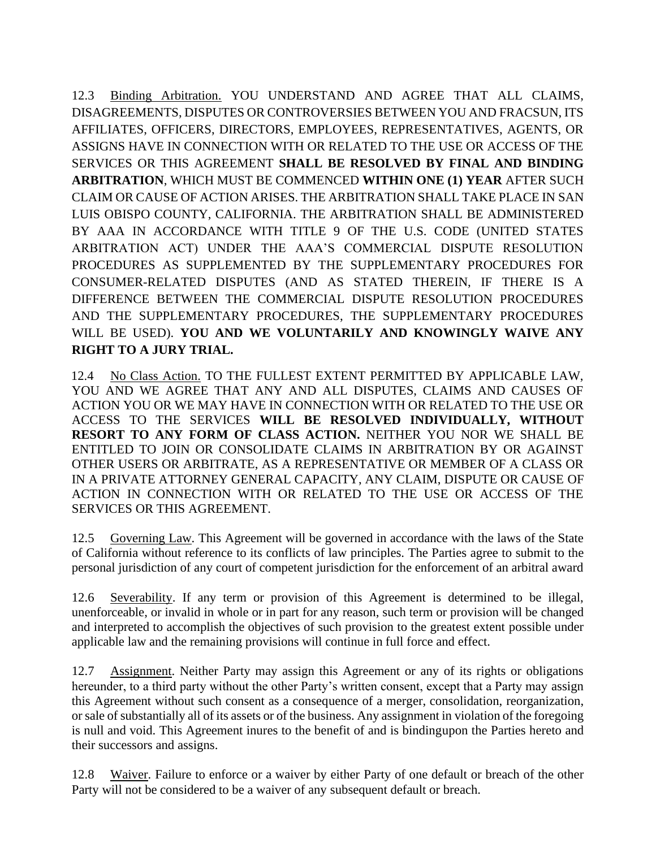12.3 Binding Arbitration. YOU UNDERSTAND AND AGREE THAT ALL CLAIMS, DISAGREEMENTS, DISPUTES OR CONTROVERSIES BETWEEN YOU AND FRACSUN, ITS AFFILIATES, OFFICERS, DIRECTORS, EMPLOYEES, REPRESENTATIVES, AGENTS, OR ASSIGNS HAVE IN CONNECTION WITH OR RELATED TO THE USE OR ACCESS OF THE SERVICES OR THIS AGREEMENT **SHALL BE RESOLVED BY FINAL AND BINDING ARBITRATION**, WHICH MUST BE COMMENCED **WITHIN ONE (1) YEAR** AFTER SUCH CLAIM OR CAUSE OF ACTION ARISES. THE ARBITRATION SHALL TAKE PLACE IN SAN LUIS OBISPO COUNTY, CALIFORNIA. THE ARBITRATION SHALL BE ADMINISTERED BY AAA IN ACCORDANCE WITH TITLE 9 OF THE U.S. CODE (UNITED STATES ARBITRATION ACT) UNDER THE AAA'S COMMERCIAL DISPUTE RESOLUTION PROCEDURES AS SUPPLEMENTED BY THE SUPPLEMENTARY PROCEDURES FOR CONSUMER-RELATED DISPUTES (AND AS STATED THEREIN, IF THERE IS A DIFFERENCE BETWEEN THE COMMERCIAL DISPUTE RESOLUTION PROCEDURES AND THE SUPPLEMENTARY PROCEDURES, THE SUPPLEMENTARY PROCEDURES WILL BE USED). **YOU AND WE VOLUNTARILY AND KNOWINGLY WAIVE ANY RIGHT TO A JURY TRIAL.**

12.4 No Class Action. TO THE FULLEST EXTENT PERMITTED BY APPLICABLE LAW, YOU AND WE AGREE THAT ANY AND ALL DISPUTES, CLAIMS AND CAUSES OF ACTION YOU OR WE MAY HAVE IN CONNECTION WITH OR RELATED TO THE USE OR ACCESS TO THE SERVICES **WILL BE RESOLVED INDIVIDUALLY, WITHOUT RESORT TO ANY FORM OF CLASS ACTION.** NEITHER YOU NOR WE SHALL BE ENTITLED TO JOIN OR CONSOLIDATE CLAIMS IN ARBITRATION BY OR AGAINST OTHER USERS OR ARBITRATE, AS A REPRESENTATIVE OR MEMBER OF A CLASS OR IN A PRIVATE ATTORNEY GENERAL CAPACITY, ANY CLAIM, DISPUTE OR CAUSE OF ACTION IN CONNECTION WITH OR RELATED TO THE USE OR ACCESS OF THE SERVICES OR THIS AGREEMENT.

12.5 Governing Law. This Agreement will be governed in accordance with the laws of the State of California without reference to its conflicts of law principles. The Parties agree to submit to the personal jurisdiction of any court of competent jurisdiction for the enforcement of an arbitral award

12.6 Severability. If any term or provision of this Agreement is determined to be illegal, unenforceable, or invalid in whole or in part for any reason, such term or provision will be changed and interpreted to accomplish the objectives of such provision to the greatest extent possible under applicable law and the remaining provisions will continue in full force and effect.

12.7 Assignment. Neither Party may assign this Agreement or any of its rights or obligations hereunder, to a third party without the other Party's written consent, except that a Party may assign this Agreement without such consent as a consequence of a merger, consolidation, reorganization, or sale of substantially all of its assets or of the business. Any assignment in violation of the foregoing is null and void. This Agreement inures to the benefit of and is bindingupon the Parties hereto and their successors and assigns.

12.8 Waiver. Failure to enforce or a waiver by either Party of one default or breach of the other Party will not be considered to be a waiver of any subsequent default or breach.